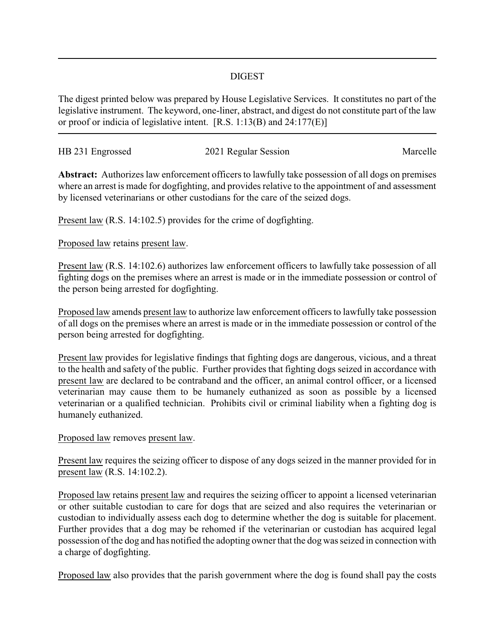## DIGEST

The digest printed below was prepared by House Legislative Services. It constitutes no part of the legislative instrument. The keyword, one-liner, abstract, and digest do not constitute part of the law or proof or indicia of legislative intent. [R.S. 1:13(B) and 24:177(E)]

| HB 231 Engrossed | 2021 Regular Session | Marcelle |
|------------------|----------------------|----------|
|                  |                      |          |

**Abstract:** Authorizes law enforcement officers to lawfully take possession of all dogs on premises where an arrest is made for dogfighting, and provides relative to the appointment of and assessment by licensed veterinarians or other custodians for the care of the seized dogs.

Present law (R.S. 14:102.5) provides for the crime of dogfighting.

Proposed law retains present law.

Present law (R.S. 14:102.6) authorizes law enforcement officers to lawfully take possession of all fighting dogs on the premises where an arrest is made or in the immediate possession or control of the person being arrested for dogfighting.

Proposed law amends present law to authorize law enforcement officers to lawfully take possession of all dogs on the premises where an arrest is made or in the immediate possession or control of the person being arrested for dogfighting.

Present law provides for legislative findings that fighting dogs are dangerous, vicious, and a threat to the health and safety of the public. Further provides that fighting dogs seized in accordance with present law are declared to be contraband and the officer, an animal control officer, or a licensed veterinarian may cause them to be humanely euthanized as soon as possible by a licensed veterinarian or a qualified technician. Prohibits civil or criminal liability when a fighting dog is humanely euthanized.

Proposed law removes present law.

Present law requires the seizing officer to dispose of any dogs seized in the manner provided for in present law (R.S. 14:102.2).

Proposed law retains present law and requires the seizing officer to appoint a licensed veterinarian or other suitable custodian to care for dogs that are seized and also requires the veterinarian or custodian to individually assess each dog to determine whether the dog is suitable for placement. Further provides that a dog may be rehomed if the veterinarian or custodian has acquired legal possession of the dog and has notified the adopting owner that the dog was seized in connection with a charge of dogfighting.

Proposed law also provides that the parish government where the dog is found shall pay the costs